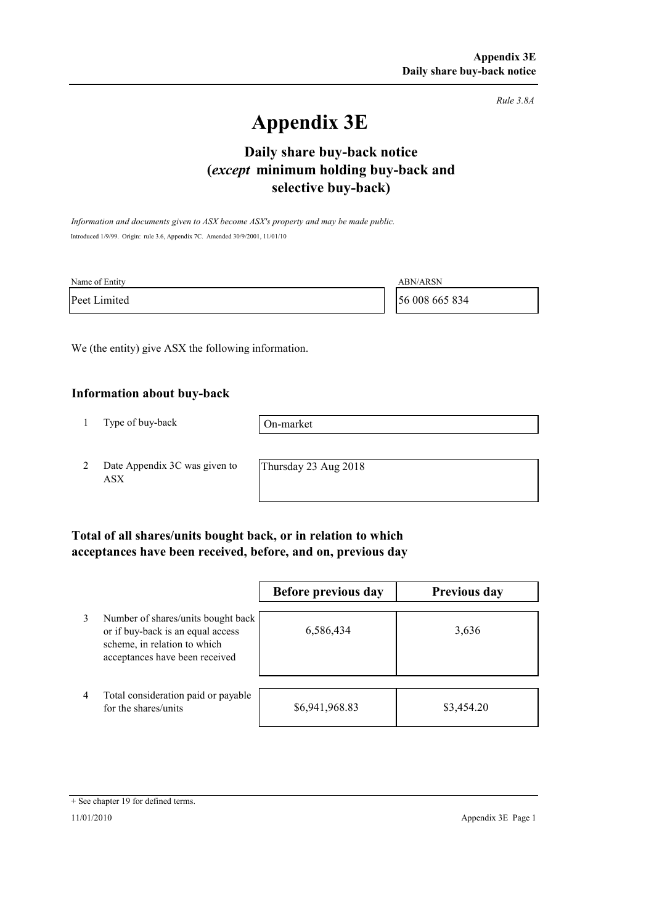*Rule 3.8A*

# **Appendix 3E**

# **selective buy-back) Daily share buy-back notice (***except* **minimum holding buy-back and**

*Information and documents given to ASX become ASX's property and may be made public.* Introduced 1/9/99. Origin: rule 3.6, Appendix 7C. Amended 30/9/2001, 11/01/10

| Name of Entity | <b>ABN/ARSN</b> |
|----------------|-----------------|
| Peet Limited   | 56 008 665 834  |

We (the entity) give ASX the following information.

#### **Information about buy-back**

1 Type of buy-back

On-market

2 Date Appendix 3C was given to ASX

Thursday 23 Aug 2018

### **Total of all shares/units bought back, or in relation to which acceptances have been received, before, and on, previous day**

|   |                                                                                                                                           | Before previous day | <b>Previous day</b> |
|---|-------------------------------------------------------------------------------------------------------------------------------------------|---------------------|---------------------|
| 3 | Number of shares/units bought back<br>or if buy-back is an equal access<br>scheme, in relation to which<br>acceptances have been received | 6,586,434           | 3,636               |
| 4 | Total consideration paid or payable<br>for the shares/units                                                                               | \$6,941,968.83      | \$3,454.20          |

<sup>+</sup> See chapter 19 for defined terms.